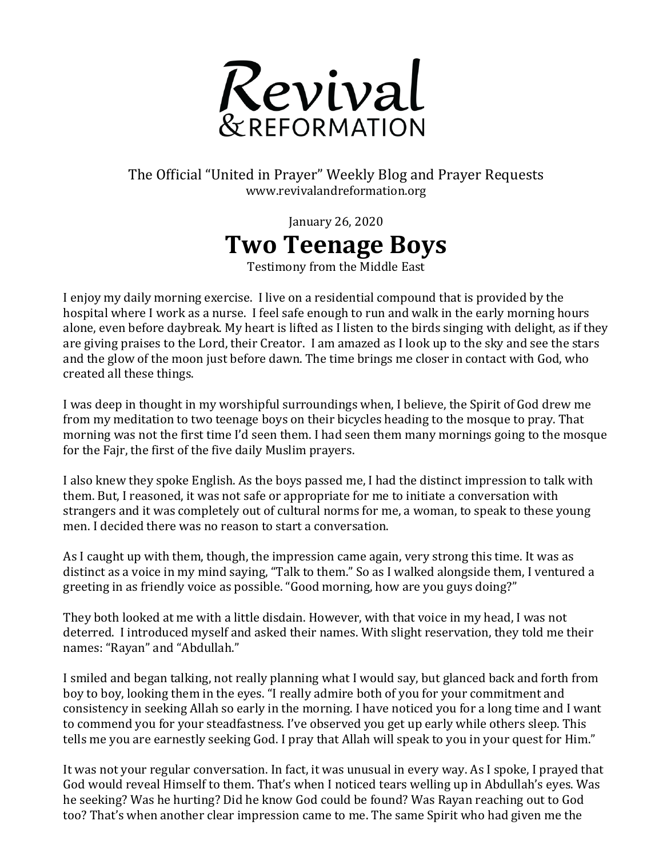

## The Official "United in Prayer" Weekly Blog and Prayer Requests www.revivalandreformation.org

January 26, 2020 **Two Teenage Boys**

Testimony from the Middle East

I enjoy my daily morning exercise. I live on a residential compound that is provided by the hospital where I work as a nurse. I feel safe enough to run and walk in the early morning hours alone, even before daybreak. My heart is lifted as I listen to the birds singing with delight, as if they are giving praises to the Lord, their Creator. I am amazed as I look up to the sky and see the stars and the glow of the moon just before dawn. The time brings me closer in contact with God, who created all these things.

I was deep in thought in my worshipful surroundings when, I believe, the Spirit of God drew me from my meditation to two teenage boys on their bicycles heading to the mosque to pray. That morning was not the first time I'd seen them. I had seen them many mornings going to the mosque for the Fajr, the first of the five daily Muslim prayers.

I also knew they spoke English. As the boys passed me, I had the distinct impression to talk with them. But, I reasoned, it was not safe or appropriate for me to initiate a conversation with strangers and it was completely out of cultural norms for me, a woman, to speak to these young men. I decided there was no reason to start a conversation.

As I caught up with them, though, the impression came again, very strong this time. It was as distinct as a voice in my mind saying, "Talk to them." So as I walked alongside them, I ventured a greeting in as friendly voice as possible. "Good morning, how are you guys doing?"

They both looked at me with a little disdain. However, with that voice in my head, I was not deterred. I introduced myself and asked their names. With slight reservation, they told me their names: "Rayan" and "Abdullah."

I smiled and began talking, not really planning what I would say, but glanced back and forth from boy to boy, looking them in the eyes. "I really admire both of you for your commitment and consistency in seeking Allah so early in the morning. I have noticed you for a long time and I want to commend you for your steadfastness. I've observed you get up early while others sleep. This tells me you are earnestly seeking God. I pray that Allah will speak to you in your quest for Him."

It was not your regular conversation. In fact, it was unusual in every way. As I spoke, I prayed that God would reveal Himself to them. That's when I noticed tears welling up in Abdullah's eyes. Was he seeking? Was he hurting? Did he know God could be found? Was Rayan reaching out to God too? That's when another clear impression came to me. The same Spirit who had given me the